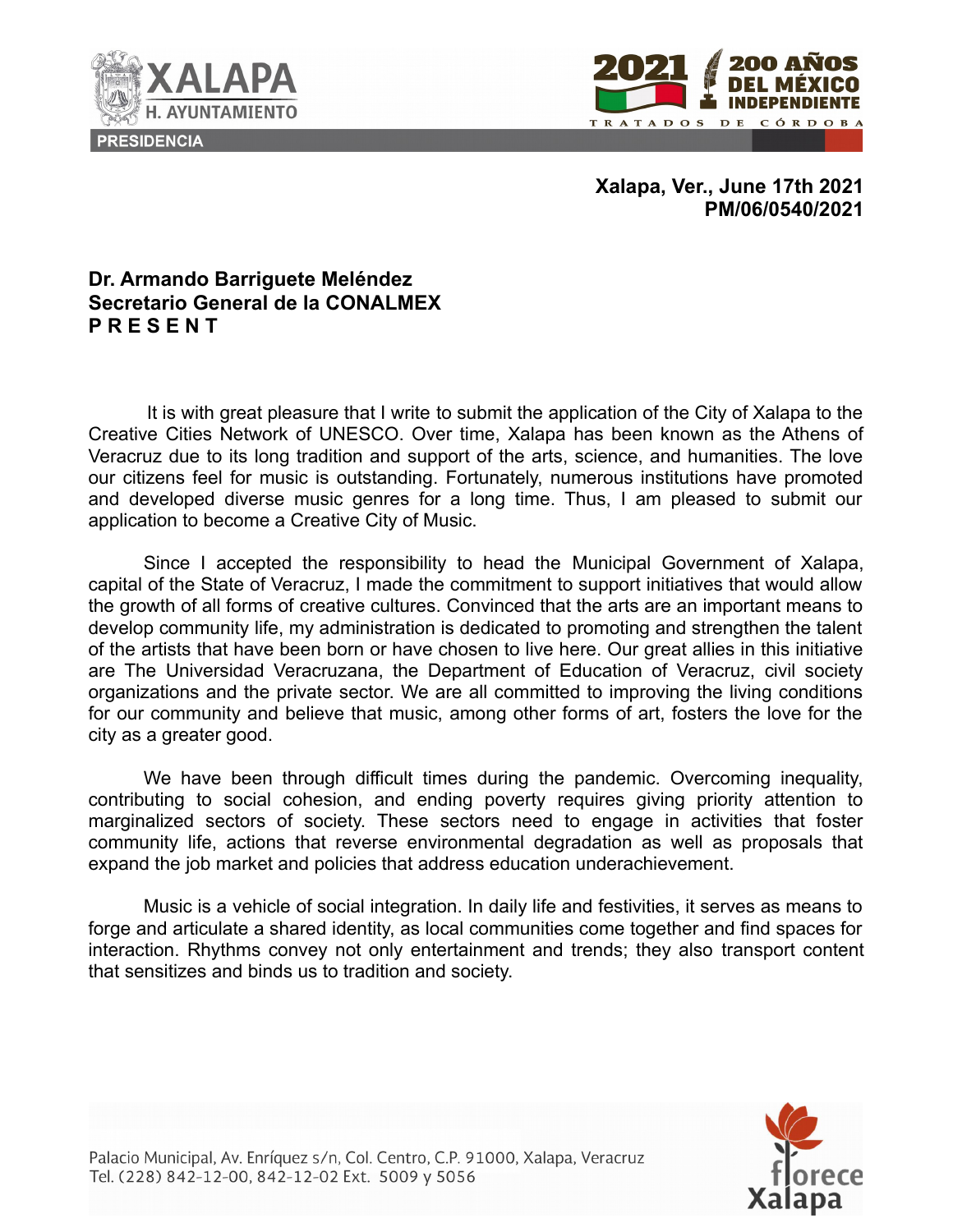



**Xalapa, Ver., June 17th 2021 PM/06/0540/2021**

## **Dr. Armando Barriguete Meléndez Secretario General de la CONALMEX P R E S E N T**

It is with great pleasure that I write to submit the application of the City of Xalapa to the Creative Cities Network of UNESCO. Over time, Xalapa has been known as the Athens of Veracruz due to its long tradition and support of the arts, science, and humanities. The love our citizens feel for music is outstanding. Fortunately, numerous institutions have promoted and developed diverse music genres for a long time. Thus, I am pleased to submit our application to become a Creative City of Music.

Since I accepted the responsibility to head the Municipal Government of Xalapa, capital of the State of Veracruz, I made the commitment to support initiatives that would allow the growth of all forms of creative cultures. Convinced that the arts are an important means to develop community life, my administration is dedicated to promoting and strengthen the talent of the artists that have been born or have chosen to live here. Our great allies in this initiative are The Universidad Veracruzana, the Department of Education of Veracruz, civil society organizations and the private sector. We are all committed to improving the living conditions for our community and believe that music, among other forms of art, fosters the love for the city as a greater good.

We have been through difficult times during the pandemic. Overcoming inequality, contributing to social cohesion, and ending poverty requires giving priority attention to marginalized sectors of society. These sectors need to engage in activities that foster community life, actions that reverse environmental degradation as well as proposals that expand the job market and policies that address education underachievement.

Music is a vehicle of social integration. In daily life and festivities, it serves as means to forge and articulate a shared identity, as local communities come together and find spaces for interaction. Rhythms convey not only entertainment and trends; they also transport content that sensitizes and binds us to tradition and society.



Palacio Municipal, Av. Enríquez s/n, Col. Centro, C.P. 91000, Xalapa, Veracruz Tel. (228) 842-12-00, 842-12-02 Ext. 5009 y 5056